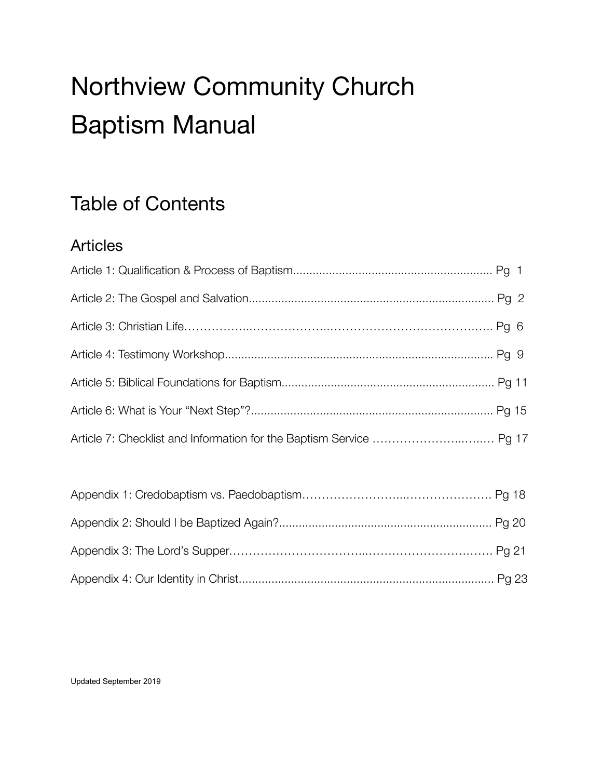# Northview Community Church Baptism Manual

# Table of Contents

### **Articles**

Updated September 2019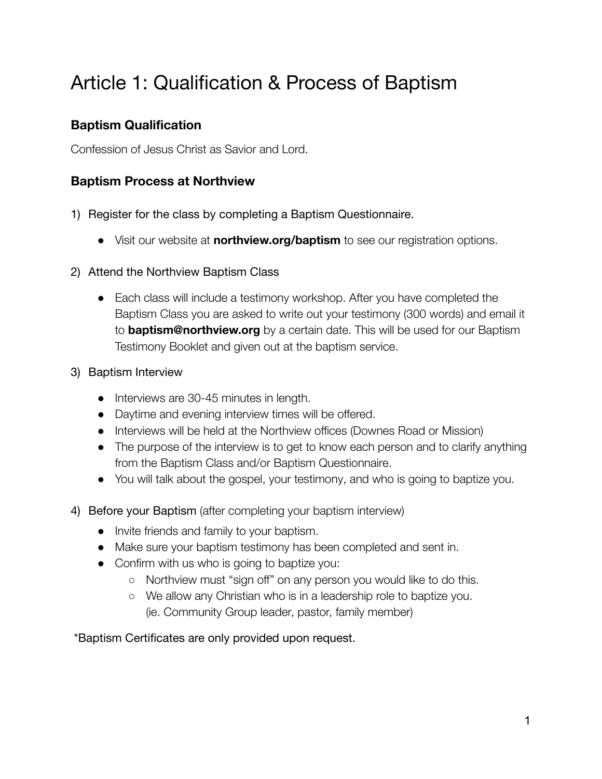# Article 1: Qualification & Process of Baptism

#### **Baptism Qualification**

Confession of Jesus Christ as Savior and Lord.

#### **Baptism Process at Northview**

- 1) Register for the class by completing a Baptism Questionnaire.
	- Visit our website at **northview.org/baptism** to see our registration options.
- 2) Attend the Northview Baptism Class
	- Each class will include a testimony workshop. After you have completed the Baptism Class you are asked to write out your testimony (300 words) and email it to **baptism@northview.org** by a certain date. This will be used for our Baptism Testimony Booklet and given out at the baptism service.
- 3) Baptism Interview
	- Interviews are 30-45 minutes in length.
	- Daytime and evening interview times will be offered.
	- Interviews will be held at the Northview offices (Downes Road or Mission)
	- The purpose of the interview is to get to know each person and to clarify anything from the Baptism Class and/or Baptism Questionnaire.
	- You will talk about the gospel, your testimony, and who is going to baptize you.
- 4) Before your Baptism (after completing your baptism interview)
	- Invite friends and family to your baptism.
	- Make sure your baptism testimony has been completed and sent in.
	- Confirm with us who is going to baptize you:
		- Northview must "sign off" on any person you would like to do this.
		- We allow any Christian who is in a leadership role to baptize you. (ie. Community Group leader, pastor, family member)

\*Baptism Certificates are only provided upon request.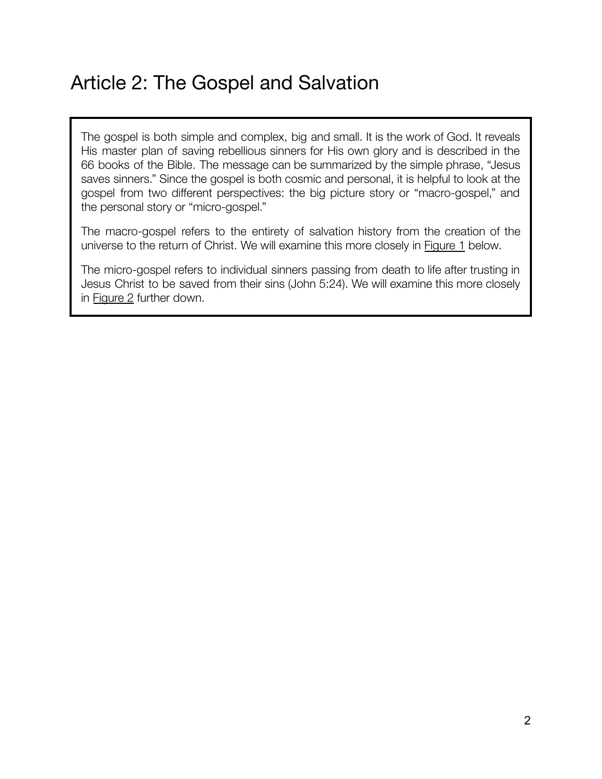# Article 2: The Gospel and Salvation

The gospel is both simple and complex, big and small. It is the work of God. It reveals His master plan of saving rebellious sinners for His own glory and is described in the 66 books of the Bible. The message can be summarized by the simple phrase, "Jesus saves sinners." Since the gospel is both cosmic and personal, it is helpful to look at the gospel from two different perspectives: the big picture story or "macro-gospel," and the personal story or "micro-gospel."

The macro-gospel refers to the entirety of salvation history from the creation of the universe to the return of Christ. We will examine this more closely in Figure 1 below.

The micro-gospel refers to individual sinners passing from death to life after trusting in Jesus Christ to be saved from their sins (John 5:24). We will examine this more closely in Figure 2 further down.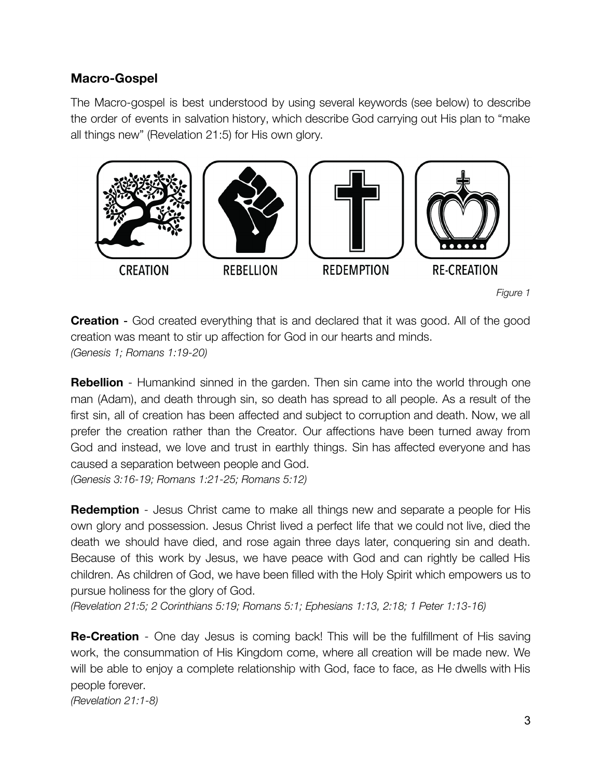#### **Macro-Gospel**

The Macro-gospel is best understood by using several keywords (see below) to describe the order of events in salvation history, which describe God carrying out His plan to "make all things new" (Revelation 21:5) for His own glory.



*Figure 1*

**Creation** - God created everything that is and declared that it was good. All of the good creation was meant to stir up affection for God in our hearts and minds. *(Genesis 1; Romans 1:19-20)*

**Rebellion** - Humankind sinned in the garden. Then sin came into the world through one man (Adam), and death through sin, so death has spread to all people. As a result of the first sin, all of creation has been affected and subject to corruption and death. Now, we all prefer the creation rather than the Creator. Our affections have been turned away from God and instead, we love and trust in earthly things. Sin has affected everyone and has caused a separation between people and God.

*(Genesis 3:16-19; Romans 1:21-25; Romans 5:12)*

**Redemption** - Jesus Christ came to make all things new and separate a people for His own glory and possession. Jesus Christ lived a perfect life that we could not live, died the death we should have died, and rose again three days later, conquering sin and death. Because of this work by Jesus, we have peace with God and can rightly be called His children. As children of God, we have been filled with the Holy Spirit which empowers us to pursue holiness for the glory of God.

*(Revelation 21:5; 2 Corinthians 5:19; Romans 5:1; Ephesians 1:13, 2:18; 1 Peter 1:13-16)*

**Re-Creation** - One day Jesus is coming back! This will be the fulfillment of His saving work, the consummation of His Kingdom come, where all creation will be made new. We will be able to enjoy a complete relationship with God, face to face, as He dwells with His people forever.

*(Revelation 21:1-8)*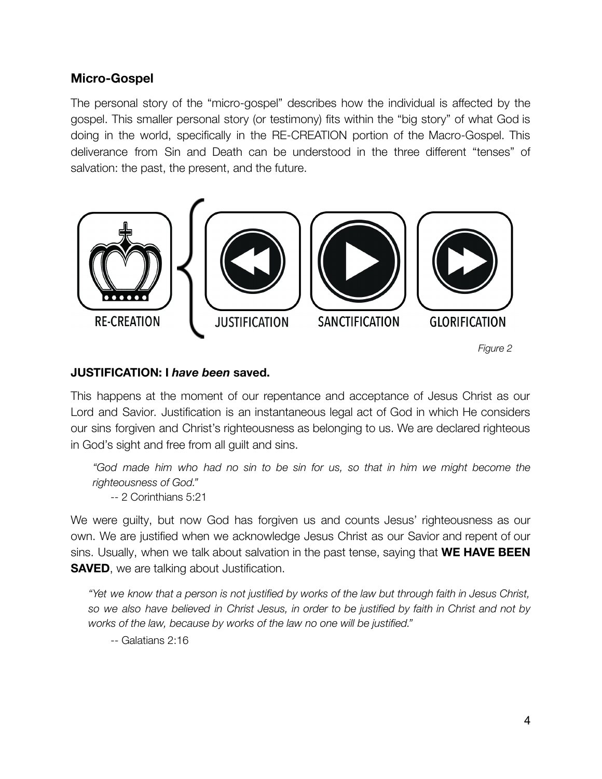#### **Micro-Gospel**

The personal story of the "micro-gospel" describes how the individual is affected by the gospel. This smaller personal story (or testimony) fits within the "big story" of what God is doing in the world, specifically in the RE-CREATION portion of the Macro-Gospel. This deliverance from Sin and Death can be understood in the three different "tenses" of salvation: the past, the present, and the future.



#### **JUSTIFICATION: I** *have been* **saved.**

This happens at the moment of our repentance and acceptance of Jesus Christ as our Lord and Savior. Justification is an instantaneous legal act of God in which He considers our sins forgiven and Christ's righteousness as belonging to us. We are declared righteous in God's sight and free from all guilt and sins.

*"God made him who had no sin to be sin for us, so that in him we might become the righteousness of God."*

-- 2 Corinthians 5:21

We were guilty, but now God has forgiven us and counts Jesus' righteousness as our own. We are justified when we acknowledge Jesus Christ as our Savior and repent of our sins. Usually, when we talk about salvation in the past tense, saying that **WE HAVE BEEN SAVED**, we are talking about Justification.

"Yet we know that a person is not justified by works of the law but through faith in Jesus Christ, so we also have believed in Christ Jesus, in order to be justified by faith in Christ and not by *works of the law, because by works of the law no one will be justified."*

-- Galatians 2:16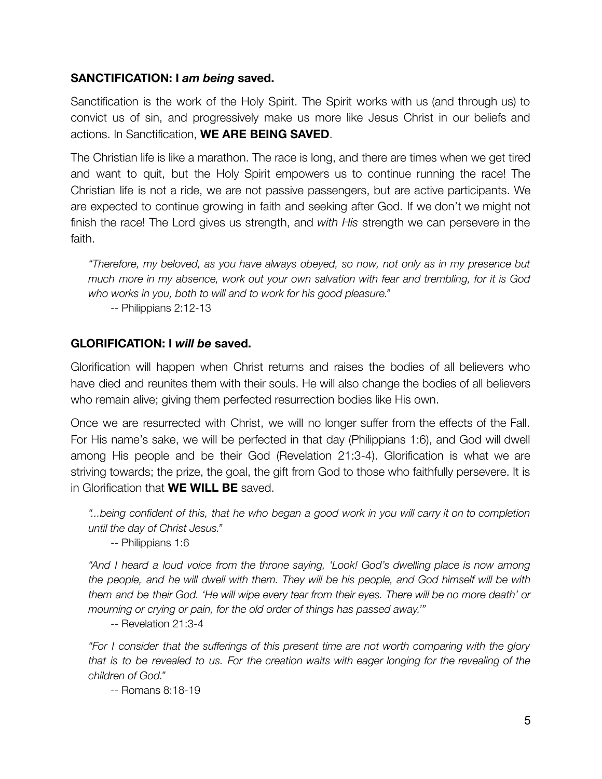#### **SANCTIFICATION: I** *am being* **saved.**

Sanctification is the work of the Holy Spirit. The Spirit works with us (and through us) to convict us of sin, and progressively make us more like Jesus Christ in our beliefs and actions. In Sanctification, **WE ARE BEING SAVED**.

The Christian life is like a marathon. The race is long, and there are times when we get tired and want to quit, but the Holy Spirit empowers us to continue running the race! The Christian life is not a ride, we are not passive passengers, but are active participants. We are expected to continue growing in faith and seeking after God. If we don't we might not finish the race! The Lord gives us strength, and *with His* strength we can persevere in the faith.

*"Therefore, my beloved, as you have always obeyed, so now, not only as in my presence but much more in my absence, work out your own salvation with fear and trembling, for it is God who works in you, both to will and to work for his good pleasure."*

-- Philippians 2:12-13

#### **GLORIFICATION: I** *will be* **saved.**

Glorification will happen when Christ returns and raises the bodies of all believers who have died and reunites them with their souls. He will also change the bodies of all believers who remain alive; giving them perfected resurrection bodies like His own.

Once we are resurrected with Christ, we will no longer suffer from the effects of the Fall. For His name's sake, we will be perfected in that day (Philippians 1:6), and God will dwell among His people and be their God (Revelation 21:3-4). Glorification is what we are striving towards; the prize, the goal, the gift from God to those who faithfully persevere. It is in Glorification that **WE WILL BE** saved.

"...being confident of this, that he who began a good work in you will carry it on to completion *until the day of Christ Jesus."*

-- Philippians 1:6

*"And I heard a loud voice from the throne saying, 'Look! God's dwelling place is now among* the people, and he will dwell with them. They will be his people, and God himself will be with them and be their God. 'He will wipe every tear from their eyes. There will be no more death' or *mourning or crying or pain, for the old order of things has passed away.'"*

-- Revelation 21:3-4

*"For I consider that the sufferings of this present time are not worth comparing with the glory* that is to be revealed to us. For the creation waits with eager longing for the revealing of the *children of God."*

-- Romans 8:18-19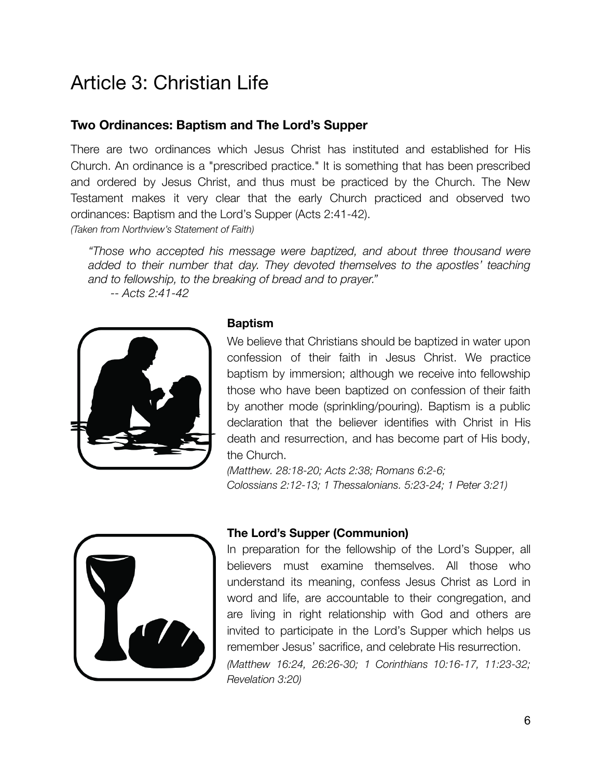# Article 3: Christian Life

#### **Two Ordinances: Baptism and The Lord's Supper**

There are two ordinances which Jesus Christ has instituted and established for His Church. An ordinance is a "prescribed practice." It is something that has been prescribed and ordered by Jesus Christ, and thus must be practiced by the Church. The New Testament makes it very clear that the early Church practiced and observed two ordinances: Baptism and the Lord's Supper (Acts 2:41-42). *(Taken from Northview's Statement of Faith)*

*"Those who accepted his message were baptized, and about three thousand were added to their number that day. They devoted themselves to the apostles' teaching and to fellowship, to the breaking of bread and to prayer." -- Acts 2:41-42*



#### **Baptism**

We believe that Christians should be baptized in water upon confession of their faith in Jesus Christ. We practice baptism by immersion; although we receive into fellowship those who have been baptized on confession of their faith by another mode (sprinkling/pouring). Baptism is a public declaration that the believer identifies with Christ in His death and resurrection, and has become part of His body, the Church.

*(Matthew. 28:18-20; Acts 2:38; Romans 6:2-6; Colossians 2:12-13; 1 Thessalonians. 5:23-24; 1 Peter 3:21)*



#### **The Lord's Supper (Communion)**

In preparation for the fellowship of the Lord's Supper, all believers must examine themselves. All those who understand its meaning, confess Jesus Christ as Lord in word and life, are accountable to their congregation, and are living in right relationship with God and others are invited to participate in the Lord's Supper which helps us remember Jesus' sacrifice, and celebrate His resurrection.

*(Matthew 16:24, 26:26-30; 1 Corinthians 10:16-17, 11:23-32; Revelation 3:20)*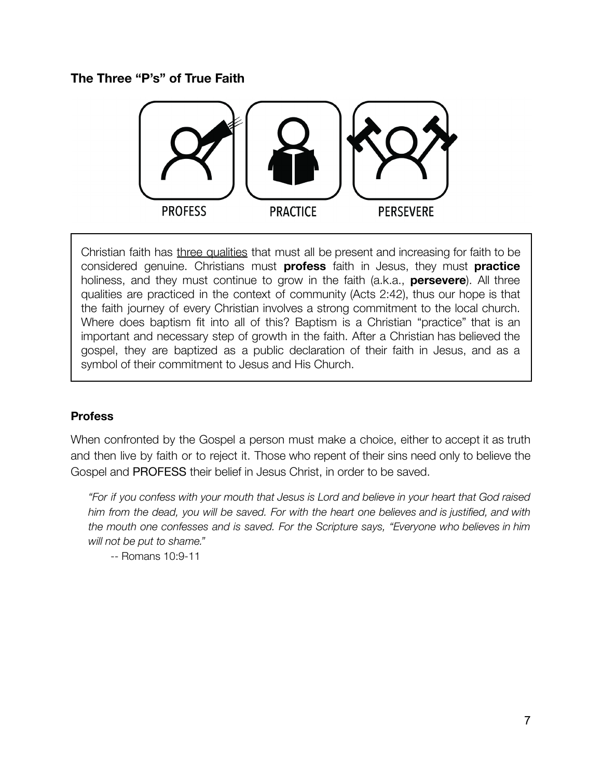#### **The Three "P's" of True Faith**



Christian faith has three qualities that must all be present and increasing for faith to be considered genuine. Christians must **profess** faith in Jesus, they must **practice** holiness, and they must continue to grow in the faith (a.k.a., **persevere**). All three qualities are practiced in the context of community (Acts 2:42), thus our hope is that the faith journey of every Christian involves a strong commitment to the local church. Where does baptism fit into all of this? Baptism is a Christian "practice" that is an important and necessary step of growth in the faith. After a Christian has believed the gospel, they are baptized as a public declaration of their faith in Jesus, and as a symbol of their commitment to Jesus and His Church.

#### **Profess**

When confronted by the Gospel a person must make a choice, either to accept it as truth and then live by faith or to reject it. Those who repent of their sins need only to believe the Gospel and PROFESS their belief in Jesus Christ, in order to be saved.

"For if you confess with your mouth that Jesus is Lord and believe in your heart that God raised him from the dead, you will be saved. For with the heart one believes and is justified, and with *the mouth one confesses and is saved. For the Scripture says, "Everyone who believes in him will not be put to shame."*

-- Romans 10:9-11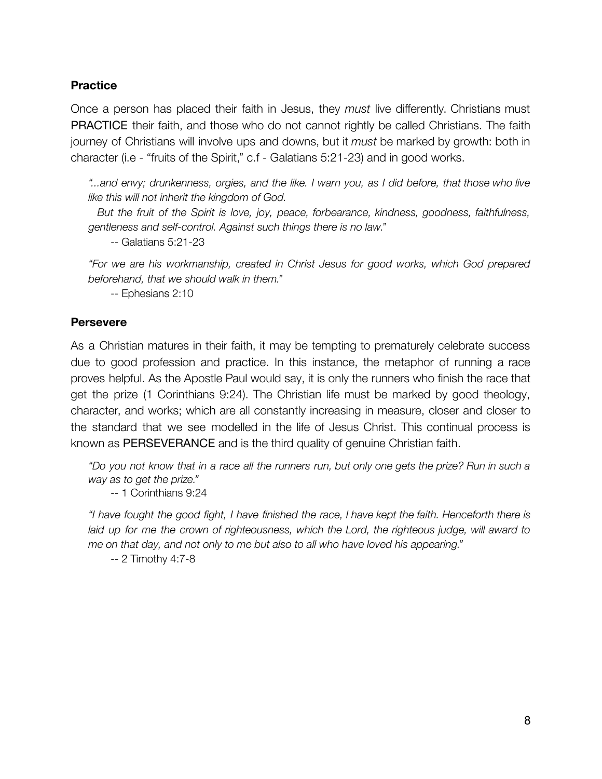#### **Practice**

Once a person has placed their faith in Jesus, they *must* live differently. Christians must PRACTICE their faith, and those who do not cannot rightly be called Christians. The faith journey of Christians will involve ups and downs, but it *must* be marked by growth: both in character (i.e - "fruits of the Spirit," c.f - Galatians 5:21-23) and in good works.

*"...and envy; drunkenness, orgies, and the like. I warn you, as I did before, that those who live like this will not inherit the kingdom of God.*

*But the fruit of the Spirit is love, joy, peace, forbearance, kindness, goodness, faithfulness, gentleness and self-control. Against such things there is no law."*

-- Galatians 5:21-23

*"For we are his workmanship, created in Christ Jesus for good works, which God prepared beforehand, that we should walk in them."*

-- Ephesians 2:10

#### **Persevere**

As a Christian matures in their faith, it may be tempting to prematurely celebrate success due to good profession and practice. In this instance, the metaphor of running a race proves helpful. As the Apostle Paul would say, it is only the runners who finish the race that get the prize (1 Corinthians 9:24). The Christian life must be marked by good theology, character, and works; which are all constantly increasing in measure, closer and closer to the standard that we see modelled in the life of Jesus Christ. This continual process is known as PERSEVERANCE and is the third quality of genuine Christian faith.

"Do you not know that in a race all the runners run, but only one gets the prize? Run in such a *way as to get the prize."*

-- 1 Corinthians 9:24

"I have fought the good fight, I have finished the race, I have kept the faith. Henceforth there is *laid up for me the crown of righteousness, which the Lord, the righteous judge, will award to me on that day, and not only to me but also to all who have loved his appearing."*

-- 2 Timothy 4:7-8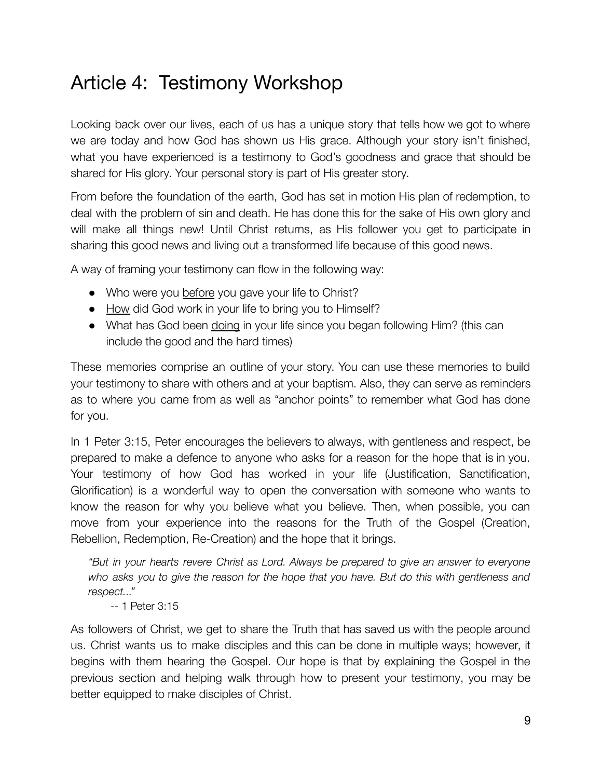## Article 4: Testimony Workshop

Looking back over our lives, each of us has a unique story that tells how we got to where we are today and how God has shown us His grace. Although your story isn't finished, what you have experienced is a testimony to God's goodness and grace that should be shared for His glory. Your personal story is part of His greater story.

From before the foundation of the earth, God has set in motion His plan of redemption, to deal with the problem of sin and death. He has done this for the sake of His own glory and will make all things new! Until Christ returns, as His follower you get to participate in sharing this good news and living out a transformed life because of this good news.

A way of framing your testimony can flow in the following way:

- Who were you before you gave your life to Christ?
- How did God work in your life to bring you to Himself?
- What has God been doing in your life since you began following Him? (this can include the good and the hard times)

These memories comprise an outline of your story. You can use these memories to build your testimony to share with others and at your baptism. Also, they can serve as reminders as to where you came from as well as "anchor points" to remember what God has done for you.

In 1 Peter 3:15, Peter encourages the believers to always, with gentleness and respect, be prepared to make a defence to anyone who asks for a reason for the hope that is in you. Your testimony of how God has worked in your life (Justification, Sanctification, Glorification) is a wonderful way to open the conversation with someone who wants to know the reason for why you believe what you believe. Then, when possible, you can move from your experience into the reasons for the Truth of the Gospel (Creation, Rebellion, Redemption, Re-Creation) and the hope that it brings.

*"But in your hearts revere Christ as Lord. Always be prepared to give an answer to everyone who asks you to give the reason for the hope that you have. But do this with gentleness and respect..."*

-- 1 Peter 3:15

As followers of Christ, we get to share the Truth that has saved us with the people around us. Christ wants us to make disciples and this can be done in multiple ways; however, it begins with them hearing the Gospel. Our hope is that by explaining the Gospel in the previous section and helping walk through how to present your testimony, you may be better equipped to make disciples of Christ.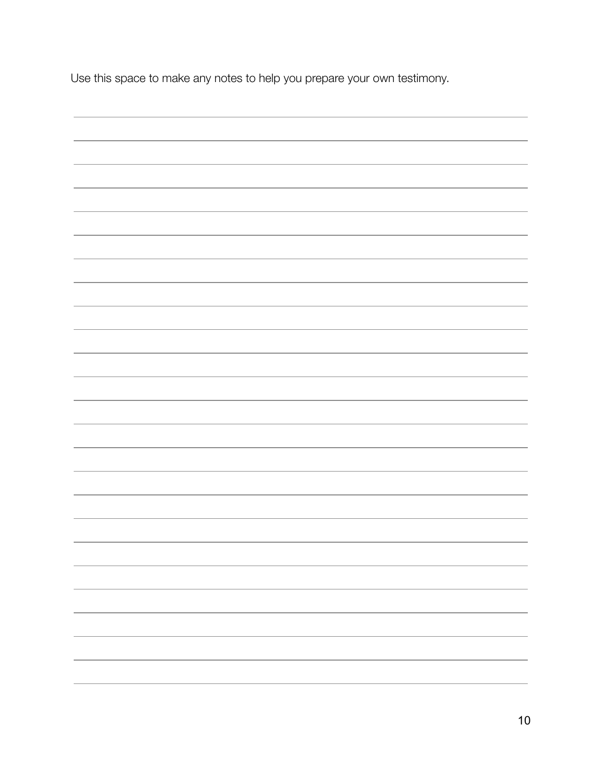Use this space to make any notes to help you prepare your own testimony.

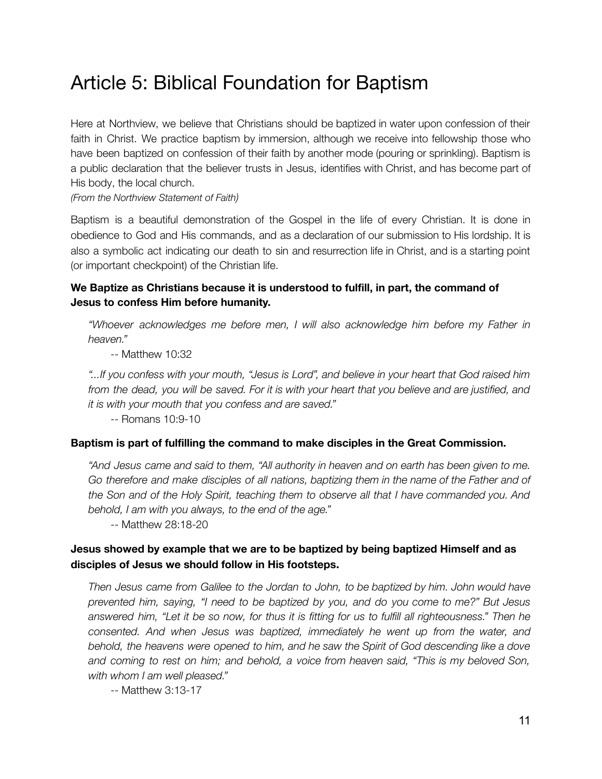### Article 5: Biblical Foundation for Baptism

Here at Northview, we believe that Christians should be baptized in water upon confession of their faith in Christ. We practice baptism by immersion, although we receive into fellowship those who have been baptized on confession of their faith by another mode (pouring or sprinkling). Baptism is a public declaration that the believer trusts in Jesus, identifies with Christ, and has become part of His body, the local church.

*(From the Northview Statement of Faith)*

Baptism is a beautiful demonstration of the Gospel in the life of every Christian. It is done in obedience to God and His commands, and as a declaration of our submission to His lordship. It is also a symbolic act indicating our death to sin and resurrection life in Christ, and is a starting point (or important checkpoint) of the Christian life.

#### **We Baptize as Christians because it is understood to fulfill, in part, the command of Jesus to confess Him before humanity.**

*"Whoever acknowledges me before men, I will also acknowledge him before my Father in heaven."*

-- Matthew 10:32

*"...If you confess with your mouth, "Jesus is Lord", and believe in your heart that God raised him* from the dead, you will be saved. For it is with your heart that you believe and are justified, and *it is with your mouth that you confess and are saved."*

-- Romans 10:9-10

#### **Baptism is part of fulfilling the command to make disciples in the Great Commission.**

"And Jesus came and said to them, "All authority in heaven and on earth has been given to me. *Go therefore and make disciples of all nations, baptizing them in the name of the Father and of the Son and of the Holy Spirit, teaching them to observe all that I have commanded you. And behold, I am with you always, to the end of the age."*

-- Matthew 28:18-20

#### **Jesus showed by example that we are to be baptized by being baptized Himself and as disciples of Jesus we should follow in His footsteps.**

*Then Jesus came from Galilee to the Jordan to John, to be baptized by him. John would have prevented him, saying, "I need to be baptized by you, and do you come to me?" But Jesus* answered him, "Let it be so now, for thus it is fitting for us to fulfill all righteousness." Then he *consented. And when Jesus was baptized, immediately he went up from the water, and behold, the heavens were opened to him, and he saw the Spirit of God descending like a dove and coming to rest on him; and behold, a voice from heaven said, "This is my beloved Son, with whom I am well pleased."*

-- Matthew 3:13-17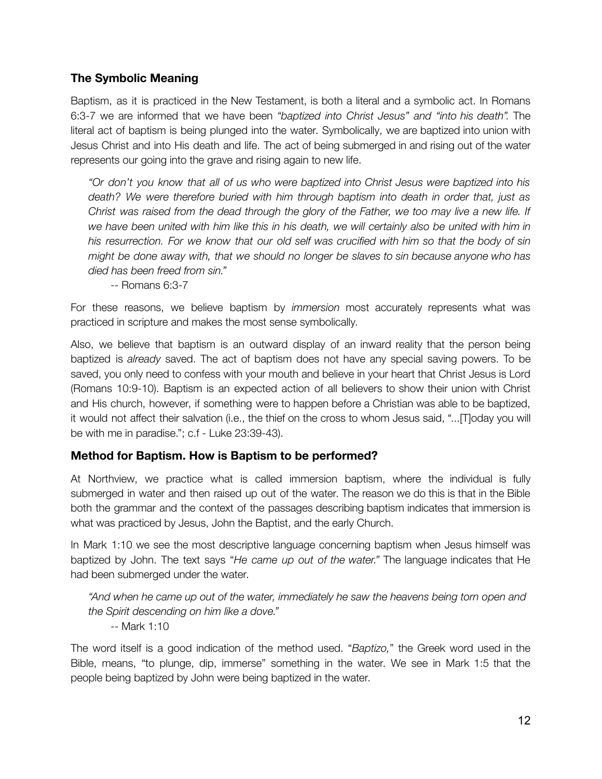#### **The Symbolic Meaning**

Baptism, as it is practiced in the New Testament, is both a literal and a symbolic act. In Romans 6:3-7 we are informed that we have been *"baptized into Christ Jesus" and "into his death".* The literal act of baptism is being plunged into the water. Symbolically, we are baptized into union with Jesus Christ and into His death and life. The act of being submerged in and rising out of the water represents our going into the grave and rising again to new life.

*"Or don't you know that all of us who were baptized into Christ Jesus were baptized into his death? We were therefore buried with him through baptism into death in order that, just as* Christ was raised from the dead through the glory of the Father, we too may live a new life. If we have been united with him like this in his death, we will certainly also be united with him in his resurrection. For we know that our old self was crucified with him so that the body of sin *might be done away with, that we should no longer be slaves to sin because anyone who has died has been freed from sin."*

-- Romans 6:3-7

For these reasons, we believe baptism by *immersion* most accurately represents what was practiced in scripture and makes the most sense symbolically.

Also, we believe that baptism is an outward display of an inward reality that the person being baptized is *already* saved. The act of baptism does not have any special saving powers. To be saved, you only need to confess with your mouth and believe in your heart that Christ Jesus is Lord (Romans 10:9-10). Baptism is an expected action of all believers to show their union with Christ and His church, however, if something were to happen before a Christian was able to be baptized, it would not affect their salvation (i.e., the thief on the cross to whom Jesus said, "...[T]oday you will be with me in paradise."; c.f - Luke 23:39-43).

#### **Method for Baptism. How is Baptism to be performed?**

At Northview, we practice what is called immersion baptism, where the individual is fully submerged in water and then raised up out of the water. The reason we do this is that in the Bible both the grammar and the context of the passages describing baptism indicates that immersion is what was practiced by Jesus, John the Baptist, and the early Church.

In Mark 1:10 we see the most descriptive language concerning baptism when Jesus himself was baptized by John. The text says "*He came up out of the water."* The language indicates that He had been submerged under the water.

*"And when he came up out of the water, immediately he saw the heavens being torn open and the Spirit descending on him like a dove."* -- Mark 1:10

The word itself is a good indication of the method used. "*Baptizo,*" the Greek word used in the Bible, means, "to plunge, dip, immerse" something in the water. We see in Mark 1:5 that the people being baptized by John were being baptized in the water.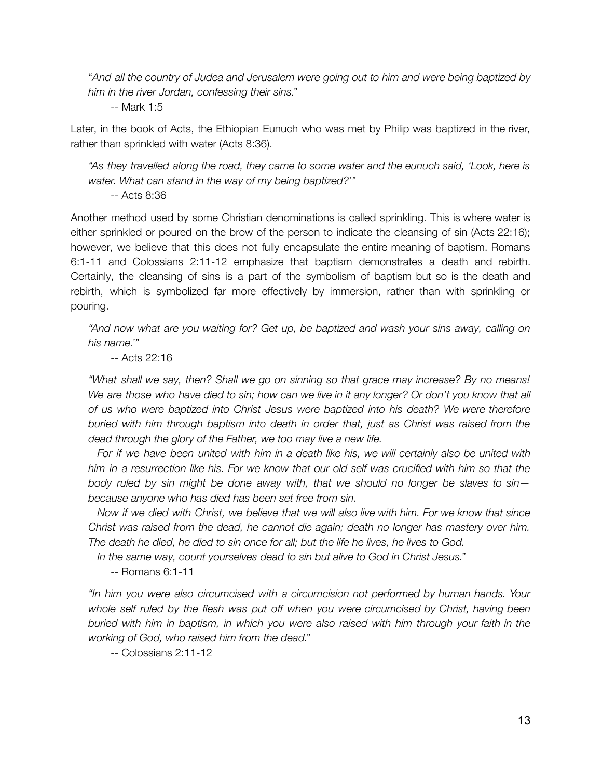"*And all the country of Judea and Jerusalem were going out to him and were being baptized by him in the river Jordan, confessing their sins."*

-- Mark 1:5

Later, in the book of Acts, the Ethiopian Eunuch who was met by Philip was baptized in the river, rather than sprinkled with water (Acts 8:36).

*"As they travelled along the road, they came to some water and the eunuch said, 'Look, here is water. What can stand in the way of my being baptized?'"* -- Acts 8:36

Another method used by some Christian denominations is called sprinkling. This is where water is either sprinkled or poured on the brow of the person to indicate the cleansing of sin (Acts 22:16); however, we believe that this does not fully encapsulate the entire meaning of baptism. Romans 6:1-11 and Colossians 2:11-12 emphasize that baptism demonstrates a death and rebirth. Certainly, the cleansing of sins is a part of the symbolism of baptism but so is the death and rebirth, which is symbolized far more effectively by immersion, rather than with sprinkling or pouring.

*"And now what are you waiting for? Get up, be baptized and wash your sins away, calling on his name.'"*

-- Acts 22:16

*"What shall we say, then? Shall we go on sinning so that grace may increase? By no means!* We are those who have died to sin; how can we live in it any longer? Or don't you know that all *of us who were baptized into Christ Jesus were baptized into his death? We were therefore buried with him through baptism into death in order that, just as Christ was raised from the dead through the glory of the Father, we too may live a new life.*

For if we have been united with him in a death like his, we will certainly also be united with him in a resurrection like his. For we know that our old self was crucified with him so that the *body ruled by sin might be done away with, that we should no longer be slaves to sin because anyone who has died has been set free from sin.*

Now if we died with Christ, we believe that we will also live with him. For we know that since *Christ was raised from the dead, he cannot die again; death no longer has mastery over him.* The death he died, he died to sin once for all; but the life he lives, he lives to God,

*In the same way, count yourselves dead to sin but alive to God in Christ Jesus."*

-- Romans 6:1-11

*"In him you were also circumcised with a circumcision not performed by human hands. Your whole self ruled by the flesh was put off when you were circumcised by Christ, having been buried with him in baptism, in which you were also raised with him through your faith in the working of God, who raised him from the dead."*

-- Colossians 2:11-12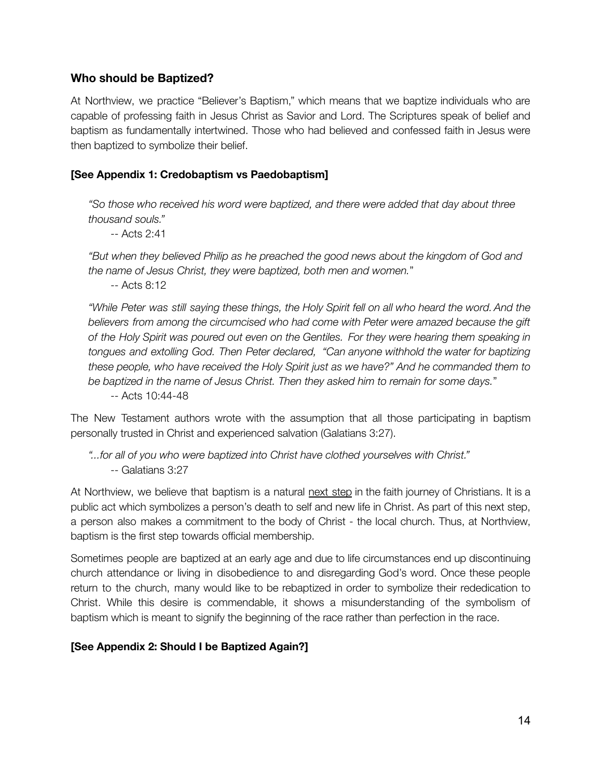#### **Who should be Baptized?**

At Northview, we practice "Believer's Baptism," which means that we baptize individuals who are capable of professing faith in Jesus Christ as Savior and Lord. The Scriptures speak of belief and baptism as fundamentally intertwined. Those who had believed and confessed faith in Jesus were then baptized to symbolize their belief.

#### **[See Appendix 1: Credobaptism vs Paedobaptism]**

*"So those who received his word were baptized, and there were added that day about three thousand souls."*

-- Acts 2:41

*"But when they believed Philip as he preached the good news about the kingdom of God and the name of Jesus Christ, they were baptized, both men and women.*"

-- Acts 8:12

"While Peter was still saying these things, the Holy Spirit fell on all who heard the word. And the *believers from among the circumcised who had come with Peter were amazed because the gift of the Holy Spirit was poured out even on the Gentiles. For they were hearing them speaking in tongues and extolling God. Then Peter declared, "Can anyone withhold the water for baptizing these people, who have received the Holy Spirit just as we have?" And he commanded them to be baptized in the name of Jesus Christ. Then they asked him to remain for some days.*" -- Acts 10:44-48

The New Testament authors wrote with the assumption that all those participating in baptism personally trusted in Christ and experienced salvation (Galatians 3:27).

*"...for all of you who were baptized into Christ have clothed yourselves with Christ."* -- Galatians 3:27

At Northview, we believe that baptism is a natural next step in the faith journey of Christians. It is a public act which symbolizes a person's death to self and new life in Christ. As part of this next step, a person also makes a commitment to the body of Christ - the local church. Thus, at Northview, baptism is the first step towards official membership.

Sometimes people are baptized at an early age and due to life circumstances end up discontinuing church attendance or living in disobedience to and disregarding God's word. Once these people return to the church, many would like to be rebaptized in order to symbolize their rededication to Christ. While this desire is commendable, it shows a misunderstanding of the symbolism of baptism which is meant to signify the beginning of the race rather than perfection in the race.

#### **[See Appendix 2: Should I be Baptized Again?]**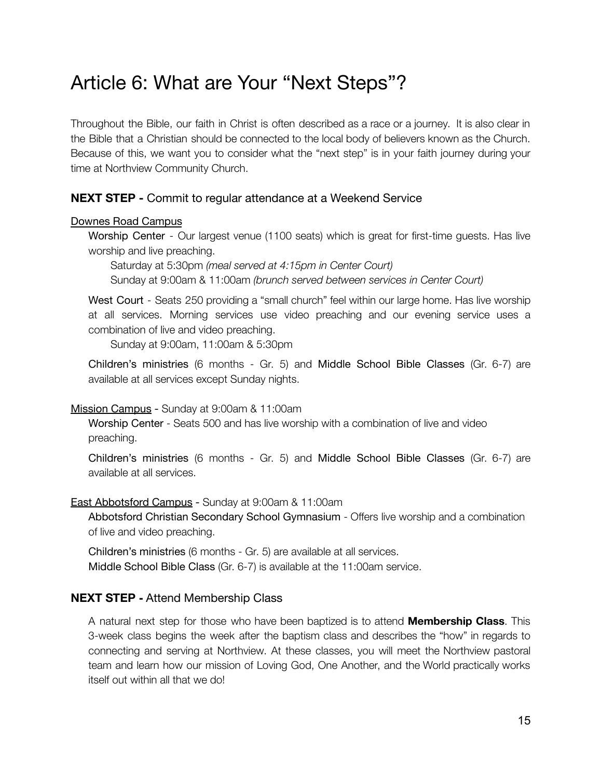### Article 6: What are Your "Next Steps"?

Throughout the Bible, our faith in Christ is often described as a race or a journey. It is also clear in the Bible that a Christian should be connected to the local body of believers known as the Church. Because of this, we want you to consider what the "next step" is in your faith journey during your time at Northview Community Church.

#### **NEXT STEP -** Commit to regular attendance at a Weekend Service

#### Downes Road Campus

Worship Center - Our largest venue (1100 seats) which is great for first-time guests. Has live worship and live preaching.

Saturday at 5:30pm *(meal served at 4:15pm in Center Court)* Sunday at 9:00am & 11:00am *(brunch served between services in Center Court)*

West Court - Seats 250 providing a "small church" feel within our large home. Has live worship at all services. Morning services use video preaching and our evening service uses a combination of live and video preaching.

Sunday at 9:00am, 11:00am & 5:30pm

Children's ministries (6 months - Gr. 5) and Middle School Bible Classes (Gr. 6-7) are available at all services except Sunday nights.

#### Mission Campus - Sunday at 9:00am & 11:00am

Worship Center - Seats 500 and has live worship with a combination of live and video preaching.

Children's ministries (6 months - Gr. 5) and Middle School Bible Classes (Gr. 6-7) are available at all services.

#### East Abbotsford Campus - Sunday at 9:00am & 11:00am

Abbotsford Christian Secondary School Gymnasium - Offers live worship and a combination of live and video preaching.

Children's ministries (6 months - Gr. 5) are available at all services. Middle School Bible Class (Gr. 6-7) is available at the 11:00am service.

#### **NEXT STEP -** Attend Membership Class

A natural next step for those who have been baptized is to attend **Membership Class**. This 3-week class begins the week after the baptism class and describes the "how" in regards to connecting and serving at Northview. At these classes, you will meet the Northview pastoral team and learn how our mission of Loving God, One Another, and the World practically works itself out within all that we do!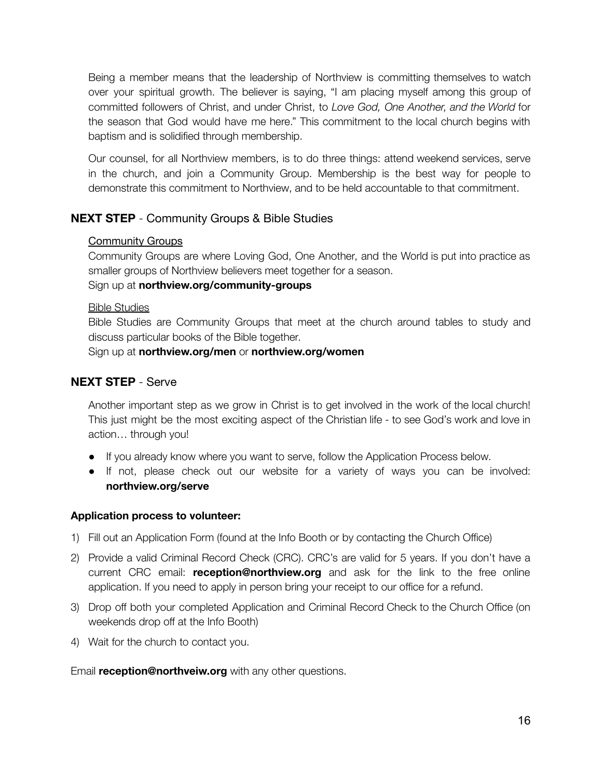Being a member means that the leadership of Northview is committing themselves to watch over your spiritual growth. The believer is saying, "I am placing myself among this group of committed followers of Christ, and under Christ, to *Love God, One Another, and the World* for the season that God would have me here." This commitment to the local church begins with baptism and is solidified through membership.

Our counsel, for all Northview members, is to do three things: attend weekend services, serve in the church, and join a Community Group. Membership is the best way for people to demonstrate this commitment to Northview, and to be held accountable to that commitment.

#### **NEXT STEP** - Community Groups & Bible Studies

#### Community Groups

Community Groups are where Loving God, One Another, and the World is put into practice as smaller groups of Northview believers meet together for a season.

#### Sign up at **northview.org/community-groups**

#### Bible Studies

Bible Studies are Community Groups that meet at the church around tables to study and discuss particular books of the Bible together.

#### Sign up at **northview.org/men** or **northview.org/women**

#### **NEXT STEP** - Serve

Another important step as we grow in Christ is to get involved in the work of the local church! This just might be the most exciting aspect of the Christian life - to see God's work and love in action… through you!

- If you already know where you want to serve, follow the Application Process below.
- If not, please check out our website for a variety of ways you can be involved: **northview.org/serve**

#### **Application process to volunteer:**

- 1) Fill out an Application Form (found at the Info Booth or by contacting the Church Office)
- 2) Provide a valid Criminal Record Check (CRC). CRC's are valid for 5 years. If you don't have a current CRC email: **reception@northview.org** and ask for the link to the free online application. If you need to apply in person bring your receipt to our office for a refund.
- 3) Drop off both your completed Application and Criminal Record Check to the Church Office (on weekends drop off at the Info Booth)
- 4) Wait for the church to contact you.

#### Email **reception@northveiw.org** with any other questions.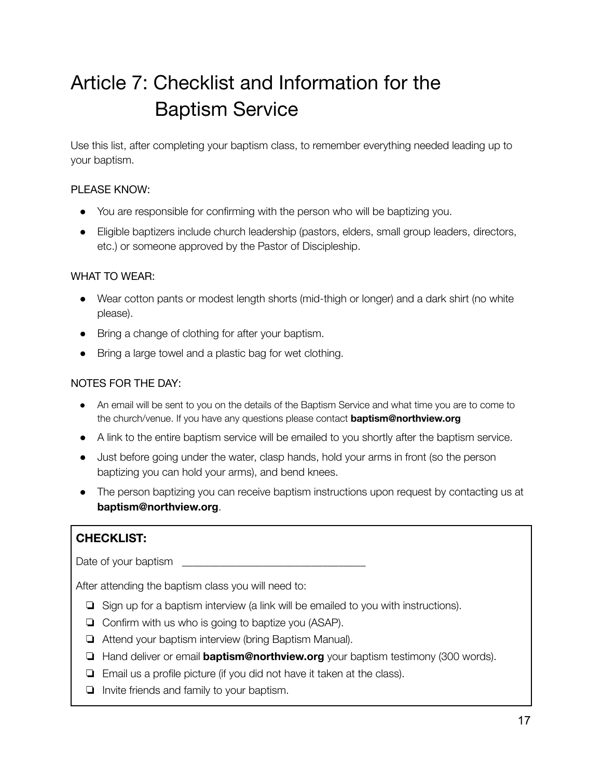# Article 7: Checklist and Information for the Baptism Service

Use this list, after completing your baptism class, to remember everything needed leading up to your baptism.

#### PLEASE KNOW:

- You are responsible for confirming with the person who will be baptizing you.
- Eligible baptizers include church leadership (pastors, elders, small group leaders, directors, etc.) or someone approved by the Pastor of Discipleship.

#### WHAT TO WEAR:

- Wear cotton pants or modest length shorts (mid-thigh or longer) and a dark shirt (no white please).
- Bring a change of clothing for after your baptism.
- Bring a large towel and a plastic bag for wet clothing.

#### NOTES FOR THE DAY:

- An email will be sent to you on the details of the Baptism Service and what time you are to come to the church/venue. If you have any questions please contact **baptism@northview.org**
- A link to the entire baptism service will be emailed to you shortly after the baptism service.
- Just before going under the water, clasp hands, hold your arms in front (so the person baptizing you can hold your arms), and bend knees.
- The person baptizing you can receive baptism instructions upon request by contacting us at **baptism@northview.org**.

#### **CHECKLIST:**

Date of your baptism \_\_\_\_\_\_\_\_\_\_\_\_\_\_\_\_\_\_\_\_\_\_\_\_\_\_\_\_\_\_\_\_\_\_

After attending the baptism class you will need to:

- ❏ Sign up for a baptism interview (a link will be emailed to you with instructions).
- ❏ Confirm with us who is going to baptize you (ASAP).
- ❏ Attend your baptism interview (bring Baptism Manual).
- ❏ Hand deliver or email **baptism@northview.org** your baptism testimony (300 words).
- ❏ Email us a profile picture (if you did not have it taken at the class).
- ❏ Invite friends and family to your baptism.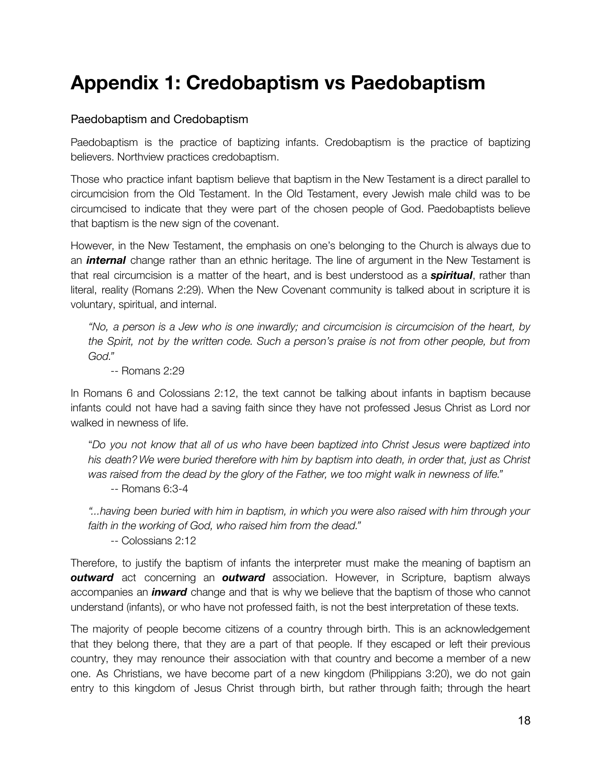# **Appendix 1: Credobaptism vs Paedobaptism**

#### Paedobaptism and Credobaptism

Paedobaptism is the practice of baptizing infants. Credobaptism is the practice of baptizing believers. Northview practices credobaptism.

Those who practice infant baptism believe that baptism in the New Testament is a direct parallel to circumcision from the Old Testament. In the Old Testament, every Jewish male child was to be circumcised to indicate that they were part of the chosen people of God. Paedobaptists believe that baptism is the new sign of the covenant.

However, in the New Testament, the emphasis on one's belonging to the Church is always due to an *internal* change rather than an ethnic heritage. The line of argument in the New Testament is that real circumcision is a matter of the heart, and is best understood as a *spiritual*, rather than literal, reality (Romans 2:29). When the New Covenant community is talked about in scripture it is voluntary, spiritual, and internal.

*"No, a person is a Jew who is one inwardly; and circumcision is circumcision of the heart, by the Spirit, not by the written code. Such a person's praise is not from other people, but from God."*

-- Romans 2:29

In Romans 6 and Colossians 2:12, the text cannot be talking about infants in baptism because infants could not have had a saving faith since they have not professed Jesus Christ as Lord nor walked in newness of life.

"*Do you not know that all of us who have been baptized into Christ Jesus were baptized into his death? We were buried therefore with him by baptism into death, in order that, just as Christ was raised from the dead by the glory of the Father, we too might walk in newness of life."* -- Romans 6:3-4

*"...having been buried with him in baptism, in which you were also raised with him through your faith in the working of God, who raised him from the dead."*

-- Colossians 2:12

Therefore, to justify the baptism of infants the interpreter must make the meaning of baptism an *outward* act concerning an *outward* association. However, in Scripture, baptism always accompanies an *inward* change and that is why we believe that the baptism of those who cannot understand (infants), or who have not professed faith, is not the best interpretation of these texts.

The majority of people become citizens of a country through birth. This is an acknowledgement that they belong there, that they are a part of that people. If they escaped or left their previous country, they may renounce their association with that country and become a member of a new one. As Christians, we have become part of a new kingdom (Philippians 3:20), we do not gain entry to this kingdom of Jesus Christ through birth, but rather through faith; through the heart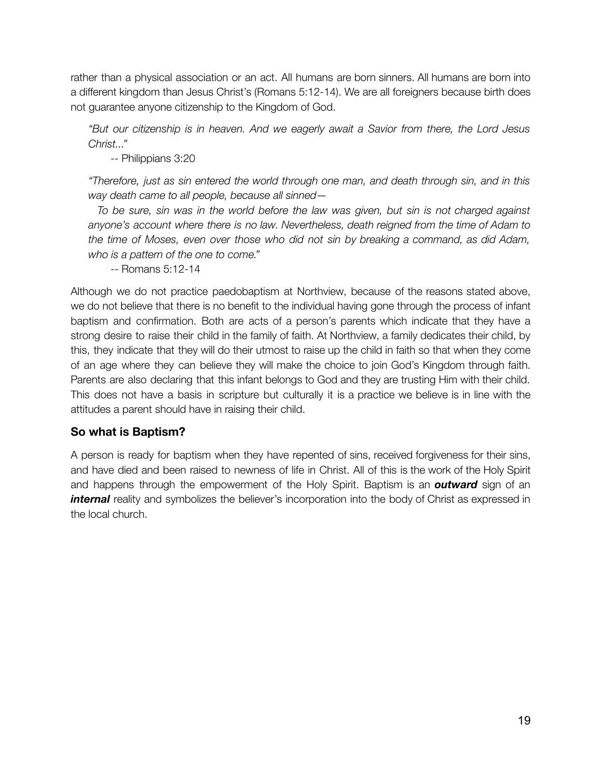rather than a physical association or an act. All humans are born sinners. All humans are born into a different kingdom than Jesus Christ's (Romans 5:12-14). We are all foreigners because birth does not guarantee anyone citizenship to the Kingdom of God.

*"But our citizenship is in heaven. And we eagerly await a Savior from there, the Lord Jesus Christ..."*

-- Philippians 3:20

*"Therefore, just as sin entered the world through one man, and death through sin, and in this way death came to all people, because all sinned—*

*To be sure, sin was in the world before the law was given, but sin is not charged against anyone's account where there is no law. Nevertheless, death reigned from the time of Adam to the time of Moses, even over those who did not sin by breaking a command, as did Adam, who is a pattern of the one to come."*

-- Romans 5:12-14

Although we do not practice paedobaptism at Northview, because of the reasons stated above, we do not believe that there is no benefit to the individual having gone through the process of infant baptism and confirmation. Both are acts of a person's parents which indicate that they have a strong desire to raise their child in the family of faith. At Northview, a family dedicates their child, by this, they indicate that they will do their utmost to raise up the child in faith so that when they come of an age where they can believe they will make the choice to join God's Kingdom through faith. Parents are also declaring that this infant belongs to God and they are trusting Him with their child. This does not have a basis in scripture but culturally it is a practice we believe is in line with the attitudes a parent should have in raising their child.

#### **So what is Baptism?**

A person is ready for baptism when they have repented of sins, received forgiveness for their sins, and have died and been raised to newness of life in Christ. All of this is the work of the Holy Spirit and happens through the empowerment of the Holy Spirit. Baptism is an *outward* sign of an *internal* reality and symbolizes the believer's incorporation into the body of Christ as expressed in the local church.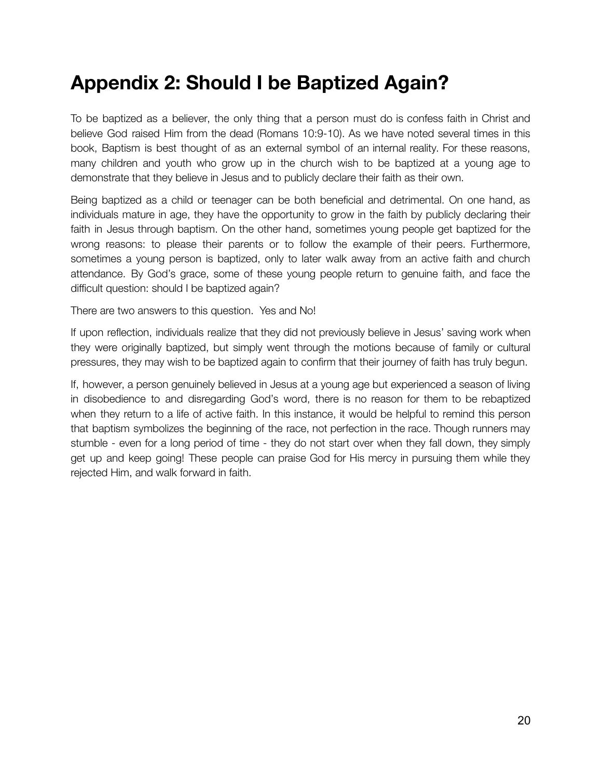# **Appendix 2: Should I be Baptized Again?**

To be baptized as a believer, the only thing that a person must do is confess faith in Christ and believe God raised Him from the dead (Romans 10:9-10). As we have noted several times in this book, Baptism is best thought of as an external symbol of an internal reality. For these reasons, many children and youth who grow up in the church wish to be baptized at a young age to demonstrate that they believe in Jesus and to publicly declare their faith as their own.

Being baptized as a child or teenager can be both beneficial and detrimental. On one hand, as individuals mature in age, they have the opportunity to grow in the faith by publicly declaring their faith in Jesus through baptism. On the other hand, sometimes young people get baptized for the wrong reasons: to please their parents or to follow the example of their peers. Furthermore, sometimes a young person is baptized, only to later walk away from an active faith and church attendance. By God's grace, some of these young people return to genuine faith, and face the difficult question: should I be baptized again?

There are two answers to this question. Yes and No!

If upon reflection, individuals realize that they did not previously believe in Jesus' saving work when they were originally baptized, but simply went through the motions because of family or cultural pressures, they may wish to be baptized again to confirm that their journey of faith has truly begun.

If, however, a person genuinely believed in Jesus at a young age but experienced a season of living in disobedience to and disregarding God's word, there is no reason for them to be rebaptized when they return to a life of active faith. In this instance, it would be helpful to remind this person that baptism symbolizes the beginning of the race, not perfection in the race. Though runners may stumble - even for a long period of time - they do not start over when they fall down, they simply get up and keep going! These people can praise God for His mercy in pursuing them while they rejected Him, and walk forward in faith.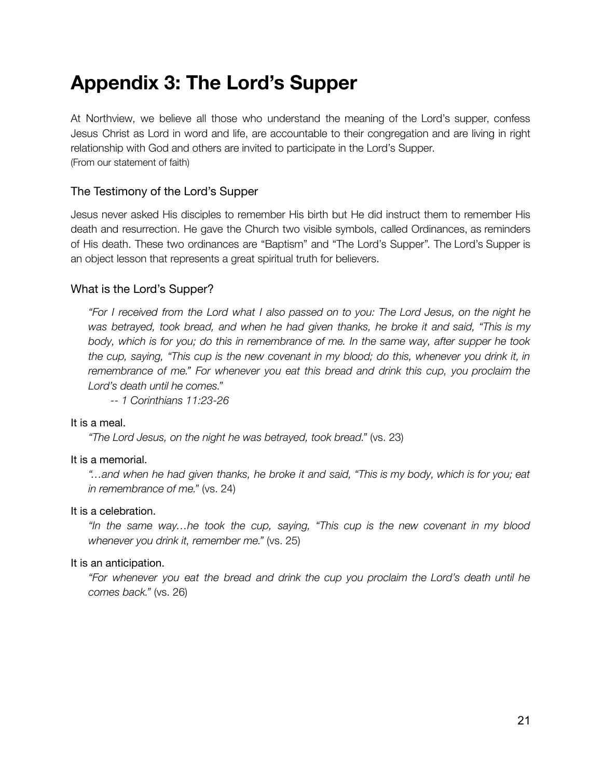## **Appendix 3: The Lord's Supper**

At Northview, we believe all those who understand the meaning of the Lord's supper, confess Jesus Christ as Lord in word and life, are accountable to their congregation and are living in right relationship with God and others are invited to participate in the Lord's Supper. (From our statement of faith)

#### The Testimony of the Lord's Supper

Jesus never asked His disciples to remember His birth but He did instruct them to remember His death and resurrection. He gave the Church two visible symbols, called Ordinances, as reminders of His death. These two ordinances are "Baptism" and "The Lord's Supper". The Lord's Supper is an object lesson that represents a great spiritual truth for believers.

#### What is the Lord's Supper?

"For I received from the Lord what I also passed on to you: The Lord Jesus, on the night he *was betrayed, took bread, and when he had given thanks, he broke it and said, "This is my body, which is for you; do this in remembrance of me. In the same way, after supper he took* the cup, saying, "This cup is the new covenant in my blood; do this, whenever you drink it, in *remembrance of me." For whenever you eat this bread and drink this cup, you proclaim the Lord's death until he comes."*

*-- 1 Corinthians 11:23-26*

#### It is a meal.

*"The Lord Jesus, on the night he was betrayed, took bread."* (vs. 23)

#### It is a memorial.

"...and when he had given thanks, he broke it and said, "This is my body, which is for you; eat *in remembrance of me."* (vs. 24)

#### It is a celebration.

*"In the same way…he took the cup, saying, "This cup is the new covenant in my blood whenever you drink it, remember me."* (vs. 25)

#### It is an anticipation.

*"For whenever you eat the bread and drink the cup you proclaim the Lord's death until he comes back."* (vs. 26)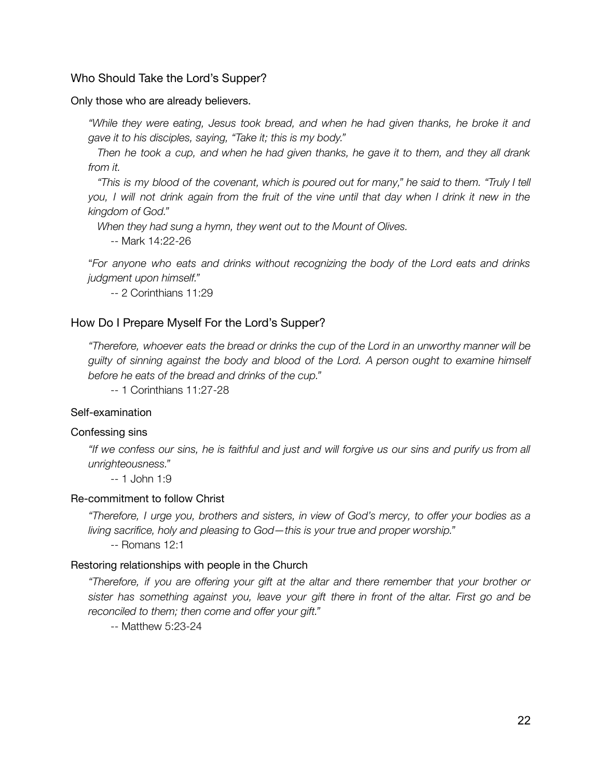#### Who Should Take the Lord's Supper?

Only those who are already believers.

*"While they were eating, Jesus took bread, and when he had given thanks, he broke it and gave it to his disciples, saying, "Take it; this is my body."*

Then he took a cup, and when he had given thanks, he gave it to them, and they all drank *from it.*

"This is my blood of the covenant, which is poured out for many," he said to them. "Truly I tell you, I will not drink again from the fruit of the vine until that day when I drink it new in the *kingdom of God."*

*When they had sung a hymn, they went out to the Mount of Olives.*

-- Mark 14:22-26

"*For anyone who eats and drinks without recognizing the body of the Lord eats and drinks judgment upon himself."*

-- 2 Corinthians 11:29

#### How Do I Prepare Myself For the Lord's Supper?

*"Therefore, whoever eats the bread or drinks the cup of the Lord in an unworthy manner will be guilty of sinning against the body and blood of the Lord. A person ought to examine himself before he eats of the bread and drinks of the cup."*

-- 1 Corinthians 11:27-28

#### Self-examination

#### Confessing sins

"If we confess our sins, he is faithful and just and will forgive us our sins and purify us from all *unrighteousness."*

-- 1 John 1:9

#### Re-commitment to follow Christ

*"Therefore, I urge you, brothers and sisters, in view of God's mercy, to offer your bodies as a living sacrifice, holy and pleasing to God—this is your true and proper worship."*

-- Romans 12:1

#### Restoring relationships with people in the Church

*"Therefore, if you are offering your gift at the altar and there remember that your brother or sister has something against you, leave your gift there in front of the altar. First go and be reconciled to them; then come and offer your gift."*

-- Matthew 5:23-24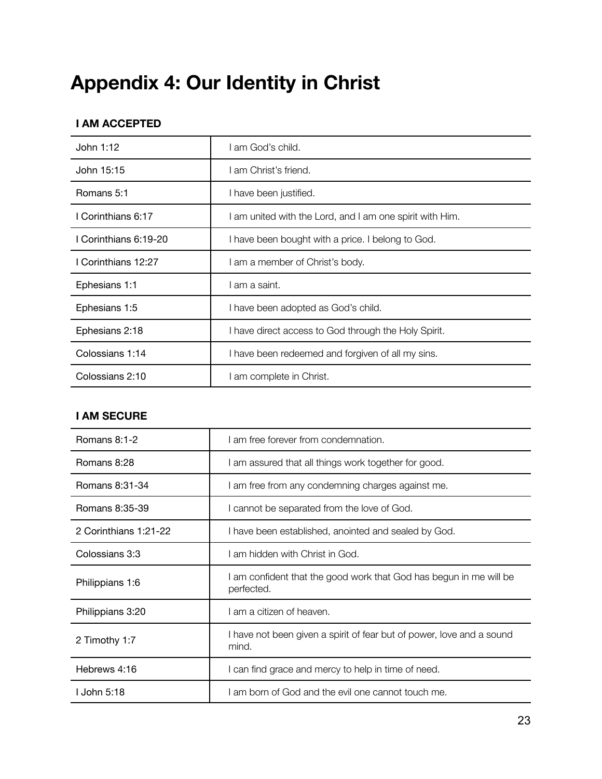# **Appendix 4: Our Identity in Christ**

#### **I AM ACCEPTED**

| John 1:12             | am God's child.                                        |
|-----------------------|--------------------------------------------------------|
| John 15:15            | am Christ's friend.                                    |
| Romans 5:1            | I have been justified.                                 |
| I Corinthians 6:17    | am united with the Lord, and I am one spirit with Him. |
| I Corinthians 6:19-20 | I have been bought with a price. I belong to God.      |
| l Corinthians 12:27   | am a member of Christ's body.                          |
| Ephesians 1:1         | am a saint.                                            |
| Ephesians 1:5         | I have been adopted as God's child.                    |
| Ephesians 2:18        | I have direct access to God through the Holy Spirit.   |
| Colossians 1:14       | I have been redeemed and forgiven of all my sins.      |
| Colossians 2:10       | am complete in Christ.                                 |

#### **I AM SECURE**

| Romans 8:1-2          | am free forever from condemnation.                                               |
|-----------------------|----------------------------------------------------------------------------------|
| Romans 8:28           | I am assured that all things work together for good.                             |
| Romans 8:31-34        | am free from any condemning charges against me.                                  |
| Romans 8:35-39        | I cannot be separated from the love of God.                                      |
| 2 Corinthians 1:21-22 | I have been established, anointed and sealed by God.                             |
| Colossians 3:3        | am hidden with Christ in God.                                                    |
| Philippians 1:6       | I am confident that the good work that God has begun in me will be<br>perfected. |
| Philippians 3:20      | I am a citizen of heaven.                                                        |
| 2 Timothy 1:7         | I have not been given a spirit of fear but of power, love and a sound<br>mind.   |
| Hebrews 4:16          | can find grace and mercy to help in time of need.                                |
| <b>John 5:18</b>      | am born of God and the evil one cannot touch me.                                 |